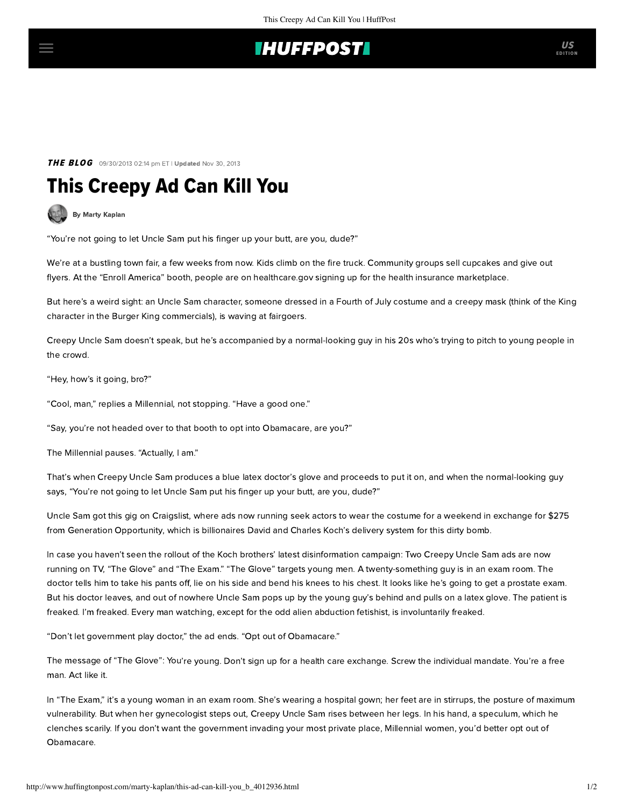## **IHUFFPOSTI**

### THE BLOG 09/30/2013 02:14 pm ET | Updated Nov 30, 2013

# This Creepy Ad Can Kill You



"You're not going to let Uncle Sam put his finger up your butt, are you, dude?"

We're at a bustling town fair, a few weeks from now. Kids climb on the fire truck. Community groups sell cupcakes and give out flyers. At the "Enroll America" booth, people are on healthcare.gov signing up for the health insurance marketplace.

But here's a weird sight: an Uncle Sam character, someone dressed in a Fourth of July costume and a creepy mask (think of the King character in the [Burger King commercials\)](http://www.youtube.com/watch?feature=player_embedded&v=x4_5qoy4oaQ), is waving at fairgoers.

Creepy Uncle Sam doesn't speak, but he's accompanied by a normal-looking guy in his 20s who's trying to pitch to young people in the crowd.

"Hey, how's it going, bro?"

"Cool, man," replies a Millennial, not stopping. "Have a good one."

"Say, you're not headed over to that booth to opt into Obamacare, are you?"

The Millennial pauses. "Actually, I am."

That's when Creepy Uncle Sam produces a blue latex doctor's glove and proceeds to put it on, and when the normal-looking guy says, "You're not going to let Uncle Sam put his finger up your butt, are you, dude?"

Uncle Sam got this gig on Craigslist, where [ads](http://washingtondc.craigslist.org/doc/tlg/4077434890.html) now running seek actors to wear the costume for a weekend in exchange for \$275 from [Generation Opportunity,](http://generationopportunity.org/#axzz2gEnWKR22) which is billionaires David and Charles Koch's delivery system for this dirty bomb.

In case you haven't seen the rollout of the Koch brothers' latest disinformation campaign: Two Creepy Uncle Sam [ads](http://www.theatlantic.com/politics/archive/2013/09/creepy-anti-obamacare-ads-suggest-where-uncle-sam-wants-to-stick-it/279825/) are now running on TV, "The Glove" and "The Exam." "The Glove" targets young men. A twenty-something guy is in an exam room. The doctor tells him to take his pants off, lie on his side and bend his knees to his chest. It looks like he's going to get a prostate exam. But his doctor leaves, and out of nowhere Uncle Sam pops up by the young guy's behind and pulls on a latex glove. The patient is freaked. I'm freaked. Every man watching, except for the odd alien abduction fetishist, is involuntarily freaked.

"Don't let government play doctor," the ad ends. "Opt out of Obamacare."

The message of "The Glove": You're young. Don't sign up for a health care exchange. Screw the individual mandate. You're a free man. Act like it.

In "The Exam," it's a young woman in an exam room. She's wearing a hospital gown; her feet are in stirrups, the posture of maximum vulnerability. But when her gynecologist steps out, Creepy Uncle Sam rises between her legs. In his hand, a speculum, which he clenches scarily. If you don't want the government invading your most private place, Millennial women, you'd better opt out of Obamacare.